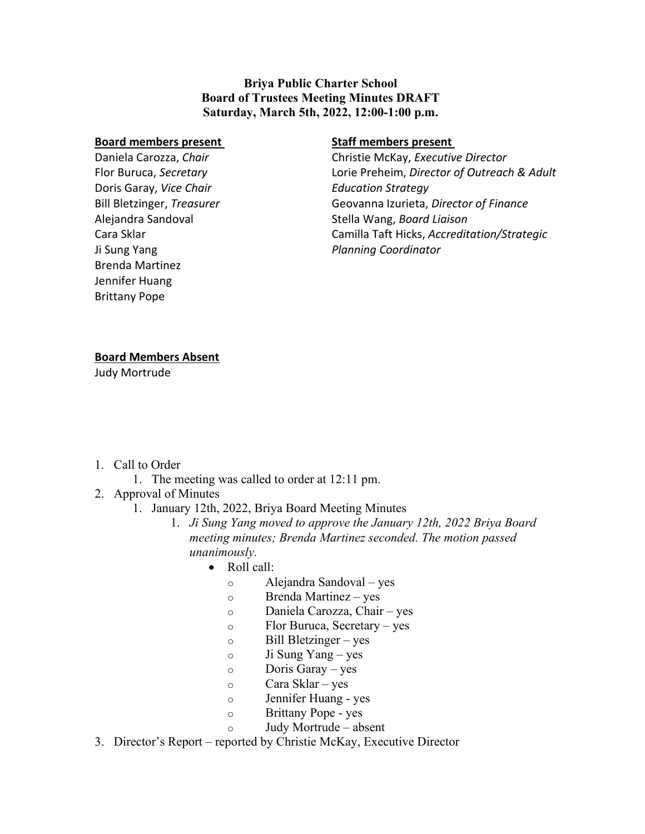**Briya Public Charter School Board of Trustees Meeting Minutes DRAFT Saturday, March 5th, 2022, 12:00-1:00 p.m.**

## **Board members present**

Daniela Carozza, *Chair* Flor Buruca, *Secretary* Doris Garay, *Vice Chair* Bill Bletzinger, *Treasurer* Alejandra Sandoval Cara Sklar Ji Sung Yang Brenda Martinez Jennifer Huang Brittany Pope

## **Staff members present**

Christie McKay, *Executive Director* Lorie Preheim, *Director of Outreach & Adult Education Strategy* Geovanna Izurieta, *Director of Finance* Stella Wang, *Board Liaison* Camilla Taft Hicks, *Accreditation/Strategic Planning Coordinator*

## **Board Members Absent**

Judy Mortrude

- 1. Call to Order
	- 1. The meeting was called to order at 12:11 pm.
- 2. Approval of Minutes
	- 1. January 12th, 2022, Briya Board Meeting Minutes
		- 1. *Ji Sung Yang moved to approve the January 12th, 2022 Briya Board meeting minutes; Brenda Martinez seconded. The motion passed unanimously.*
			- Roll call:
				- o Alejandra Sandoval yes
				- o Brenda Martinez yes
				- o Daniela Carozza, Chair yes
				- o Flor Buruca, Secretary yes
				- o Bill Bletzinger yes
				- o Ji Sung Yang yes
				- o Doris Garay yes
				- o Cara Sklar yes
				- o Jennifer Huang yes
				- o Brittany Pope yes
					- Judy Mortrude absent
- 3. Director's Report reported by Christie McKay, Executive Director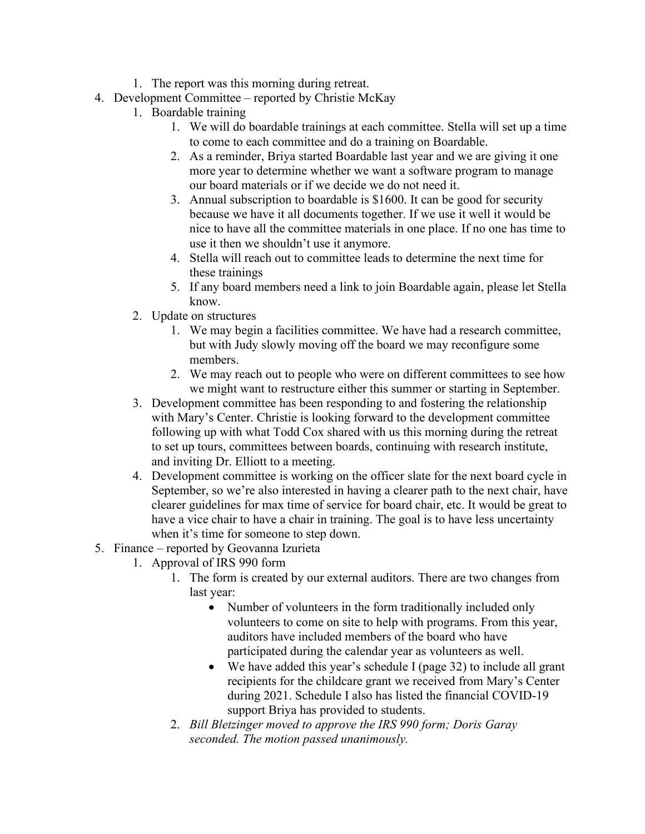- 1. The report was this morning during retreat.
- 4. Development Committee reported by Christie McKay
	- 1. Boardable training
		- 1. We will do boardable trainings at each committee. Stella will set up a time to come to each committee and do a training on Boardable.
		- 2. As a reminder, Briya started Boardable last year and we are giving it one more year to determine whether we want a software program to manage our board materials or if we decide we do not need it.
		- 3. Annual subscription to boardable is \$1600. It can be good for security because we have it all documents together. If we use it well it would be nice to have all the committee materials in one place. If no one has time to use it then we shouldn't use it anymore.
		- 4. Stella will reach out to committee leads to determine the next time for these trainings
		- 5. If any board members need a link to join Boardable again, please let Stella know.
	- 2. Update on structures
		- 1. We may begin a facilities committee. We have had a research committee, but with Judy slowly moving off the board we may reconfigure some members.
		- 2. We may reach out to people who were on different committees to see how we might want to restructure either this summer or starting in September.
	- 3. Development committee has been responding to and fostering the relationship with Mary's Center. Christie is looking forward to the development committee following up with what Todd Cox shared with us this morning during the retreat to set up tours, committees between boards, continuing with research institute, and inviting Dr. Elliott to a meeting.
	- 4. Development committee is working on the officer slate for the next board cycle in September, so we're also interested in having a clearer path to the next chair, have clearer guidelines for max time of service for board chair, etc. It would be great to have a vice chair to have a chair in training. The goal is to have less uncertainty when it's time for someone to step down.
- 5. Finance reported by Geovanna Izurieta
	- 1. Approval of IRS 990 form
		- 1. The form is created by our external auditors. There are two changes from last year:
			- Number of volunteers in the form traditionally included only volunteers to come on site to help with programs. From this year, auditors have included members of the board who have participated during the calendar year as volunteers as well.
			- We have added this year's schedule I (page 32) to include all grant recipients for the childcare grant we received from Mary's Center during 2021. Schedule I also has listed the financial COVID-19 support Briya has provided to students.
		- 2. *Bill Bletzinger moved to approve the IRS 990 form; Doris Garay seconded. The motion passed unanimously.*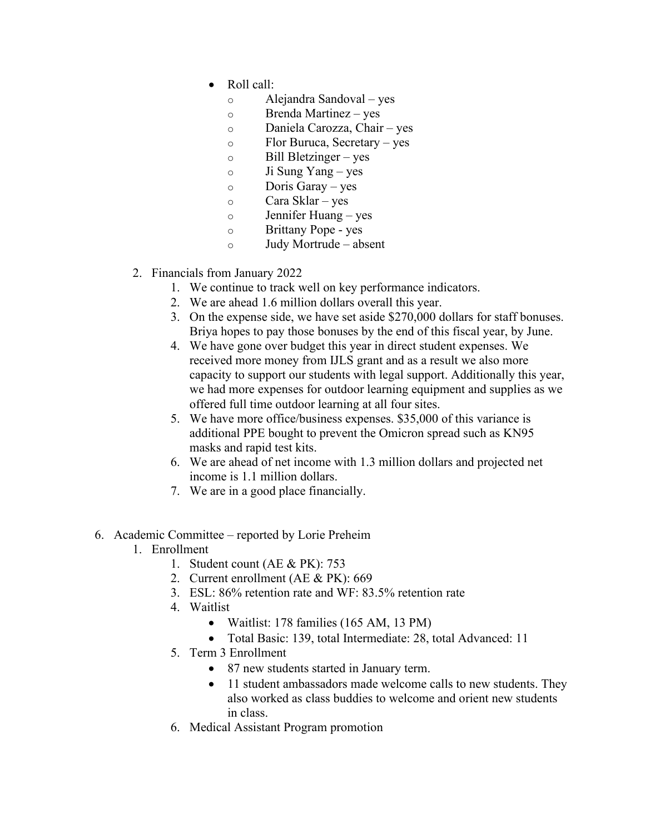- Roll call:
	- o Alejandra Sandoval yes
	- o Brenda Martinez yes
	- o Daniela Carozza, Chair yes
	- o Flor Buruca, Secretary yes
	- $\circ$  Bill Bletzinger yes
	- $\circ$  Ji Sung Yang yes
	- o Doris Garay yes
	- o Cara Sklar yes
	- o Jennifer Huang yes
	- o Brittany Pope yes
	- o Judy Mortrude absent
- 2. Financials from January 2022
	- 1. We continue to track well on key performance indicators.
	- 2. We are ahead 1.6 million dollars overall this year.
	- 3. On the expense side, we have set aside \$270,000 dollars for staff bonuses. Briya hopes to pay those bonuses by the end of this fiscal year, by June.
	- 4. We have gone over budget this year in direct student expenses. We received more money from IJLS grant and as a result we also more capacity to support our students with legal support. Additionally this year, we had more expenses for outdoor learning equipment and supplies as we offered full time outdoor learning at all four sites.
	- 5. We have more office/business expenses. \$35,000 of this variance is additional PPE bought to prevent the Omicron spread such as KN95 masks and rapid test kits.
	- 6. We are ahead of net income with 1.3 million dollars and projected net income is 1.1 million dollars.
	- 7. We are in a good place financially.
- 6. Academic Committee reported by Lorie Preheim
	- 1. Enrollment
		- 1. Student count (AE & PK): 753
		- 2. Current enrollment (AE & PK): 669
		- 3. ESL: 86% retention rate and WF: 83.5% retention rate
		- 4. Waitlist
			- Waitlist: 178 families (165 AM, 13 PM)
			- Total Basic: 139, total Intermediate: 28, total Advanced: 11
		- 5. Term 3 Enrollment
			- 87 new students started in January term.
			- 11 student ambassadors made welcome calls to new students. They also worked as class buddies to welcome and orient new students in class.
		- 6. Medical Assistant Program promotion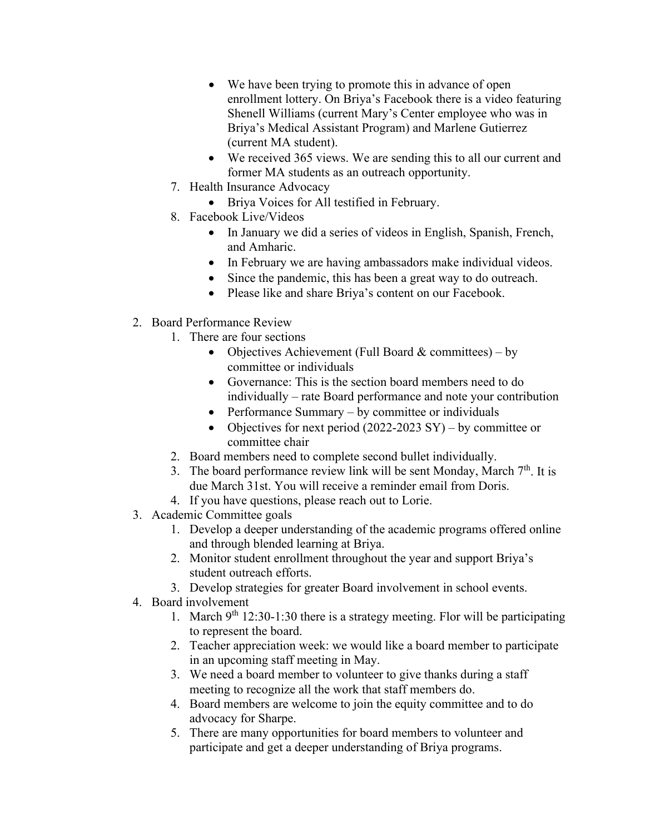- We have been trying to promote this in advance of open enrollment lottery. On Briya's Facebook there is a video featuring Shenell Williams (current Mary's Center employee who was in Briya's Medical Assistant Program) and Marlene Gutierrez (current MA student).
- We received 365 views. We are sending this to all our current and former MA students as an outreach opportunity.
- 7. Health Insurance Advocacy
	- Briya Voices for All testified in February.
- 8. Facebook Live/Videos
	- In January we did a series of videos in English, Spanish, French, and Amharic.
	- In February we are having ambassadors make individual videos.
	- Since the pandemic, this has been a great way to do outreach.
	- Please like and share Briya's content on our Facebook.
- 2. Board Performance Review
	- 1. There are four sections
		- Objectives Achievement (Full Board  $&$  committees) by committee or individuals
		- Governance: This is the section board members need to do individually – rate Board performance and note your contribution
		- Performance Summary by committee or individuals
		- Objectives for next period  $(2022-2023 \text{ SY}) -$  by committee or committee chair
	- 2. Board members need to complete second bullet individually.
	- 3. The board performance review link will be sent Monday, March  $7<sup>th</sup>$ . It is due March 31st. You will receive a reminder email from Doris.
	- 4. If you have questions, please reach out to Lorie.
- 3. Academic Committee goals
	- 1. Develop a deeper understanding of the academic programs offered online and through blended learning at Briya.
	- 2. Monitor student enrollment throughout the year and support Briya's student outreach efforts.
	- 3. Develop strategies for greater Board involvement in school events.
- 4. Board involvement
	- 1. March  $9^{th}$  12:30-1:30 there is a strategy meeting. Flor will be participating to represent the board.
	- 2. Teacher appreciation week: we would like a board member to participate in an upcoming staff meeting in May.
	- 3. We need a board member to volunteer to give thanks during a staff meeting to recognize all the work that staff members do.
	- 4. Board members are welcome to join the equity committee and to do advocacy for Sharpe.
	- 5. There are many opportunities for board members to volunteer and participate and get a deeper understanding of Briya programs.